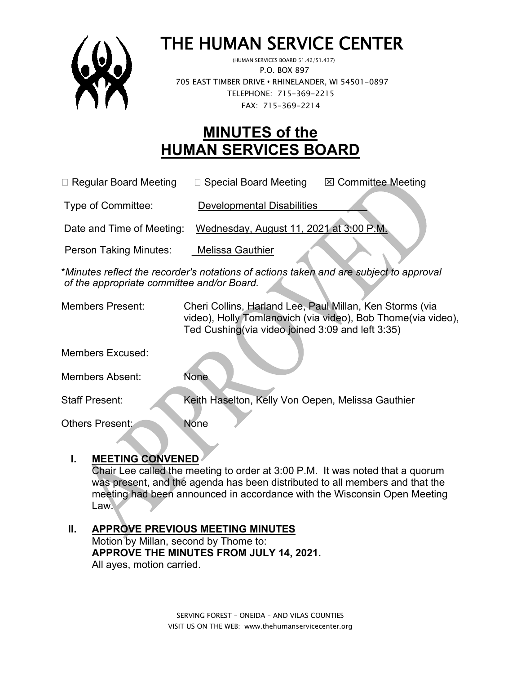

# THE HUMAN SERVICE CENTER

 P.O. BOX 897 705 EAST TIMBER DRIVE **•** RHINELANDER, WI 54501-0897 TELEPHONE: 715-369-2215 FAX: 715-369-2214

## **MINUTES of the HUMAN SERVICES BOARD**

□ Regular Board Meeting □ Special Board Meeting 図 Committee Meeting

Type of Committee: Developmental Disabilities

Date and Time of Meeting: Wednesday, August 11, 2021 at 3:00 P.M.

Person Taking Minutes: Melissa Gauthier

\**Minutes reflect the recorder's notations of actions taken and are subject to approval of the appropriate committee and/or Board.*

Members Present: Cheri Collins, Harland Lee, Paul Millan, Ken Storms (via video), Holly Tomlanovich (via video), Bob Thome(via video), Ted Cushing(via video joined 3:09 and left 3:35)

Members Excused:

Members Absent: None

Staff Present: Keith Haselton, Kelly Von Oepen, Melissa Gauthier

Others Present: None

#### **I. MEETING CONVENED**

Chair Lee called the meeting to order at 3:00 P.M. It was noted that a quorum was present, and the agenda has been distributed to all members and that the meeting had been announced in accordance with the Wisconsin Open Meeting Law.

#### **II. APPROVE PREVIOUS MEETING MINUTES**  Motion by Millan, second by Thome to: **APPROVE THE MINUTES FROM JULY 14, 2021.** All ayes, motion carried.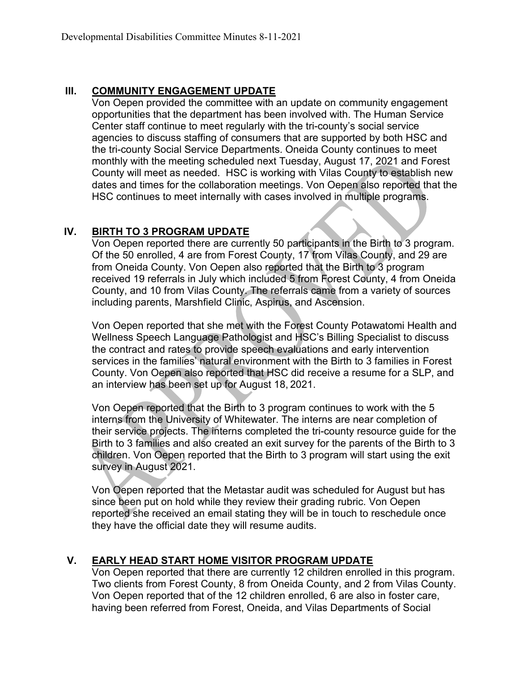#### **III. COMMUNITY ENGAGEMENT UPDATE**

Von Oepen provided the committee with an update on community engagement opportunities that the department has been involved with. The Human Service Center staff continue to meet regularly with the tri-county's social service agencies to discuss staffing of consumers that are supported by both HSC and the tri-county Social Service Departments. Oneida County continues to meet monthly with the meeting scheduled next Tuesday, August 17, 2021 and Forest County will meet as needed. HSC is working with Vilas County to establish new dates and times for the collaboration meetings. Von Oepen also reported that the HSC continues to meet internally with cases involved in multiple programs.

#### **IV. BIRTH TO 3 PROGRAM UPDATE**

Von Oepen reported there are currently 50 participants in the Birth to 3 program. Of the 50 enrolled, 4 are from Forest County, 17 from Vilas County, and 29 are from Oneida County. Von Oepen also reported that the Birth to 3 program received 19 referrals in July which included 5 from Forest County, 4 from Oneida County, and 10 from Vilas County. The referrals came from a variety of sources including parents, Marshfield Clinic, Aspirus, and Ascension.

Von Oepen reported that she met with the Forest County Potawatomi Health and Wellness Speech Language Pathologist and HSC's Billing Specialist to discuss the contract and rates to provide speech evaluations and early intervention services in the families' natural environment with the Birth to 3 families in Forest County. Von Oepen also reported that HSC did receive a resume for a SLP, and an interview has been set up for August 18, 2021.

Von Oepen reported that the Birth to 3 program continues to work with the 5 interns from the University of Whitewater. The interns are near completion of their service projects. The interns completed the tri-county resource guide for the Birth to 3 families and also created an exit survey for the parents of the Birth to 3 children. Von Oepen reported that the Birth to 3 program will start using the exit survey in August 2021.

Von Oepen reported that the Metastar audit was scheduled for August but has since been put on hold while they review their grading rubric. Von Oepen reported she received an email stating they will be in touch to reschedule once they have the official date they will resume audits.

#### **V. EARLY HEAD START HOME VISITOR PROGRAM UPDATE**

Von Oepen reported that there are currently 12 children enrolled in this program. Two clients from Forest County, 8 from Oneida County, and 2 from Vilas County. Von Oepen reported that of the 12 children enrolled, 6 are also in foster care, having been referred from Forest, Oneida, and Vilas Departments of Social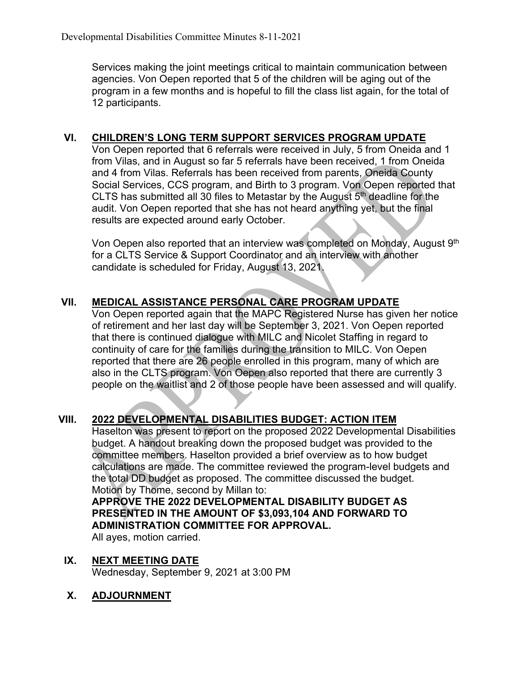Services making the joint meetings critical to maintain communication between agencies. Von Oepen reported that 5 of the children will be aging out of the program in a few months and is hopeful to fill the class list again, for the total of 12 participants.

#### **VI. CHILDREN'S LONG TERM SUPPORT SERVICES PROGRAM UPDATE**

Von Oepen reported that 6 referrals were received in July, 5 from Oneida and 1 from Vilas, and in August so far 5 referrals have been received, 1 from Oneida and 4 from Vilas. Referrals has been received from parents, Oneida County Social Services, CCS program, and Birth to 3 program. Von Oepen reported that CLTS has submitted all 30 files to Metastar by the August 5th deadline for the audit. Von Oepen reported that she has not heard anything yet, but the final results are expected around early October.

Von Oepen also reported that an interview was completed on Monday, August 9th for a CLTS Service & Support Coordinator and an interview with another candidate is scheduled for Friday, August 13, 2021.

### **VII. MEDICAL ASSISTANCE PERSONAL CARE PROGRAM UPDATE**

Von Oepen reported again that the MAPC Registered Nurse has given her notice of retirement and her last day will be September 3, 2021. Von Oepen reported that there is continued dialogue with MILC and Nicolet Staffing in regard to continuity of care for the families during the transition to MILC. Von Oepen reported that there are 26 people enrolled in this program, many of which are also in the CLTS program. Von Oepen also reported that there are currently 3 people on the waitlist and 2 of those people have been assessed and will qualify.

#### **VIII. 2022 DEVELOPMENTAL DISABILITIES BUDGET: ACTION ITEM**

Haselton was present to report on the proposed 2022 Developmental Disabilities budget. A handout breaking down the proposed budget was provided to the committee members. Haselton provided a brief overview as to how budget calculations are made. The committee reviewed the program-level budgets and the total DD budget as proposed. The committee discussed the budget. Motion by Thome, second by Millan to:

#### **APPROVE THE 2022 DEVELOPMENTAL DISABILITY BUDGET AS PRESENTED IN THE AMOUNT OF \$3,093,104 AND FORWARD TO ADMINISTRATION COMMITTEE FOR APPROVAL.**

All ayes, motion carried.

**IX. NEXT MEETING DATE** Wednesday, September 9, 2021 at 3:00 PM

#### **X. ADJOURNMENT**